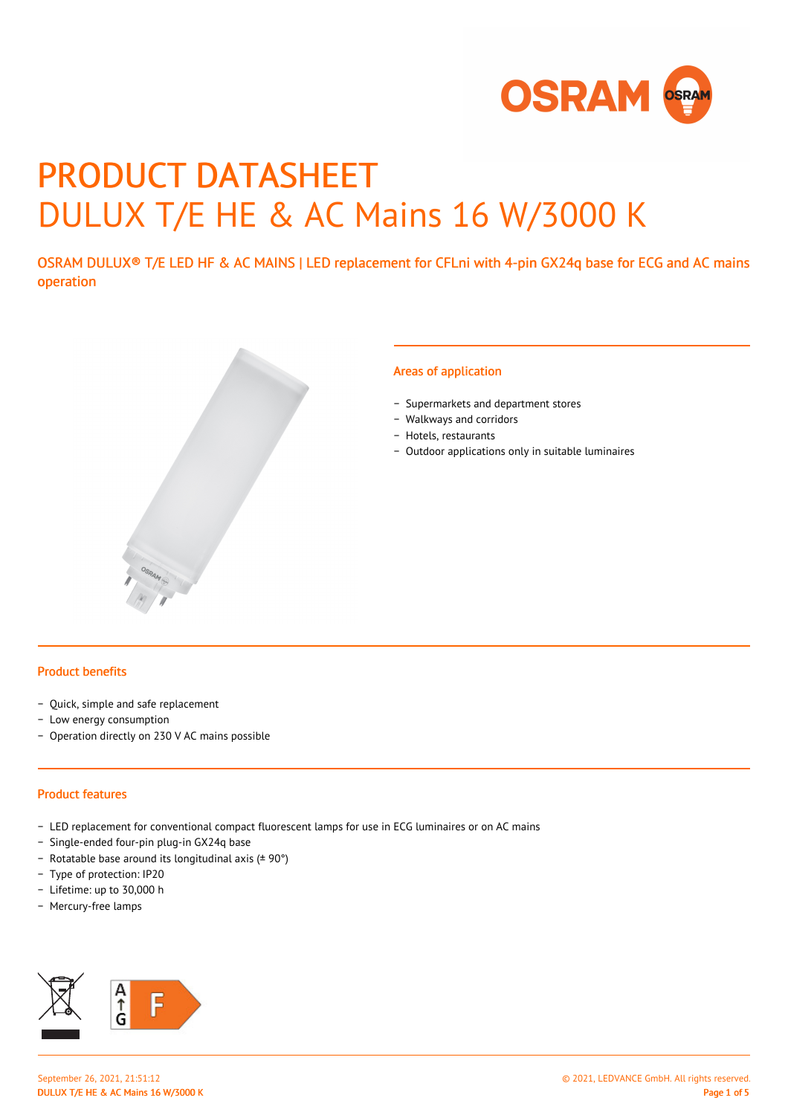

# PRODUCT DATASHEET DULUX T/E HE & AC Mains 16 W/3000 K

OSRAM DULUX® T/E LED HF & AC MAINS | LED replacement for CFLni with 4-pin GX24q base for ECG and AC mains operation



#### Areas of application

- − Supermarkets and department stores
- − Walkways and corridors
- − Hotels, restaurants
- − Outdoor applications only in suitable luminaires

#### Product benefits

- − Quick, simple and safe replacement
- − Low energy consumption
- − Operation directly on 230 V AC mains possible

#### Product features

- − LED replacement for conventional compact fluorescent lamps for use in ECG luminaires or on AC mains
- − Single-ended four-pin plug-in GX24q base
- − Rotatable base around its longitudinal axis (± 90°)
- − Type of protection: IP20
- − Lifetime: up to 30,000 h
- − Mercury-free lamps

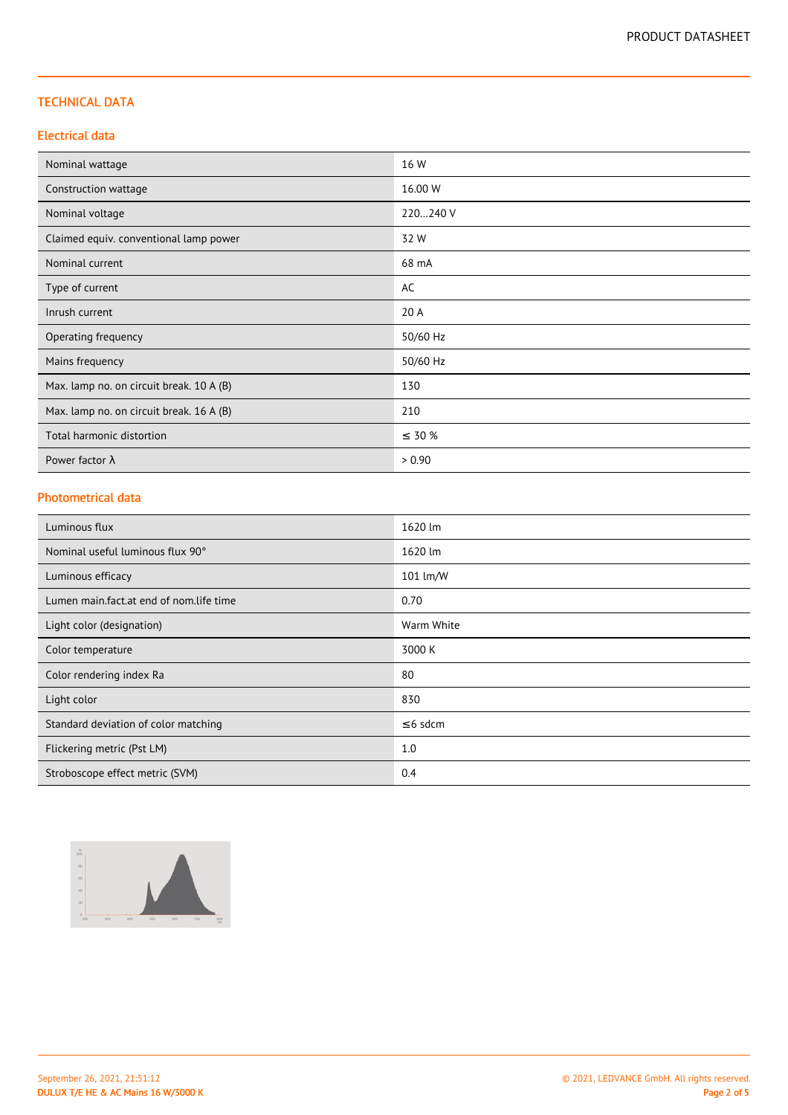## TECHNICAL DATA

### Electrical data

| Nominal wattage                          | 16 W        |
|------------------------------------------|-------------|
| Construction wattage                     | 16.00 W     |
| Nominal voltage                          | 220240 V    |
| Claimed equiv. conventional lamp power   | 32 W        |
| Nominal current                          | 68 mA       |
| Type of current                          | AC          |
| Inrush current                           | 20 A        |
| Operating frequency                      | 50/60 Hz    |
| Mains frequency                          | 50/60 Hz    |
| Max. lamp no. on circuit break. 10 A (B) | 130         |
| Max. lamp no. on circuit break. 16 A (B) | 210         |
| Total harmonic distortion                | $\leq 30\%$ |
| Power factor $\lambda$                   | > 0.90      |

#### Photometrical data

| Luminous flux                                         | 1620 lm    |
|-------------------------------------------------------|------------|
| Nominal useful luminous flux 90°                      | 1620 lm    |
| Luminous efficacy                                     | 101 lm/W   |
| Lumen main.fact.at end of nom.life time               | 0.70       |
| Light color (designation)                             | Warm White |
| Color temperature                                     | 3000 K     |
| Color rendering index Ra<br>80                        |            |
| Light color                                           | 830        |
| $\leq$ 6 sdcm<br>Standard deviation of color matching |            |
| 1.0<br>Flickering metric (Pst LM)                     |            |
| Stroboscope effect metric (SVM)                       | 0.4        |

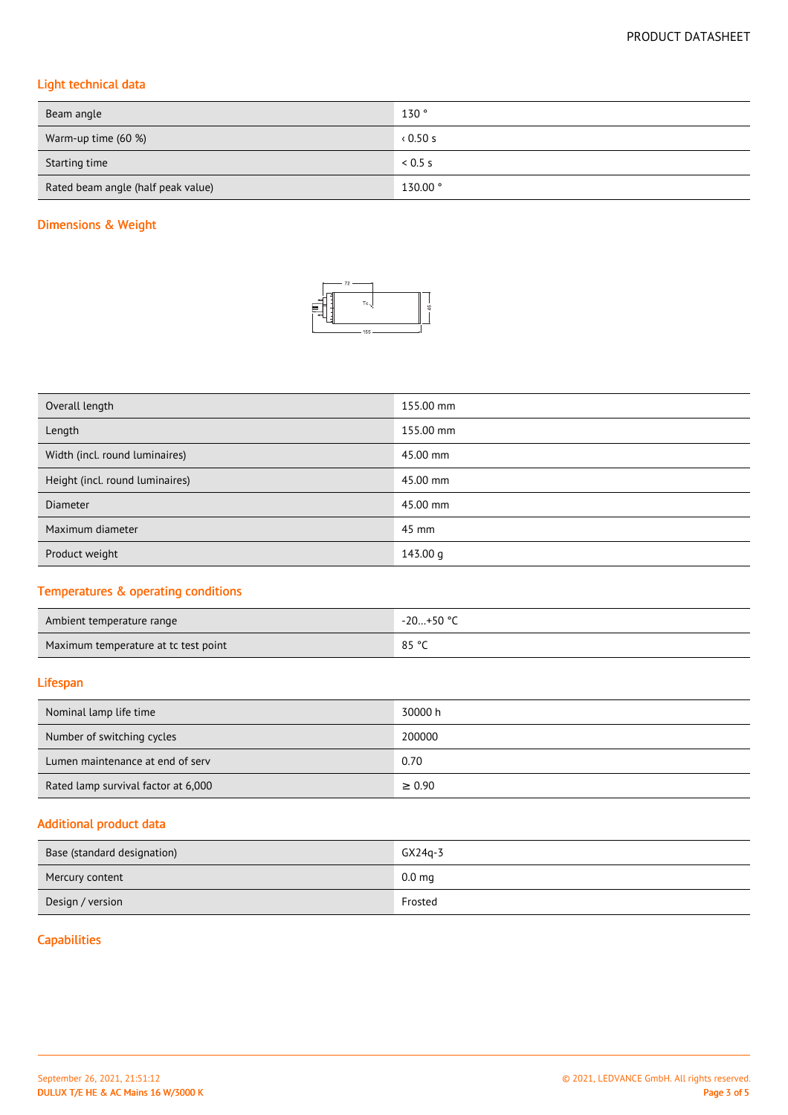# Light technical data

| Beam angle                         | 130°    |
|------------------------------------|---------|
| Warm-up time (60 %)                | 0.50s   |
| Starting time                      | 0.5 s   |
| Rated beam angle (half peak value) | 130.00° |

## Dimensions & Weight



| Overall length                  | 155.00 mm |
|---------------------------------|-----------|
| Length                          | 155.00 mm |
| Width (incl. round luminaires)  | 45.00 mm  |
| Height (incl. round luminaires) | 45.00 mm  |
| <b>Diameter</b>                 | 45.00 mm  |
| Maximum diameter                | 45 mm     |
| Product weight                  | 143.00 g  |

## Temperatures & operating conditions

| Ambient temperature range            | -20+50 ° <sup>r</sup> |
|--------------------------------------|-----------------------|
| Maximum temperature at tc test point | 85 °C                 |

### Lifespan

| Nominal lamp life time              | 30000 h     |
|-------------------------------------|-------------|
| Number of switching cycles          | 200000      |
| Lumen maintenance at end of serv    | 0.70        |
| Rated lamp survival factor at 6,000 | $\geq 0.90$ |

## Additional product data

| Base (standard designation) | $GX24q-3$         |
|-----------------------------|-------------------|
| Mercury content             | 0.0 <sub>mg</sub> |
| Design / version            | Frosted           |

## **Capabilities**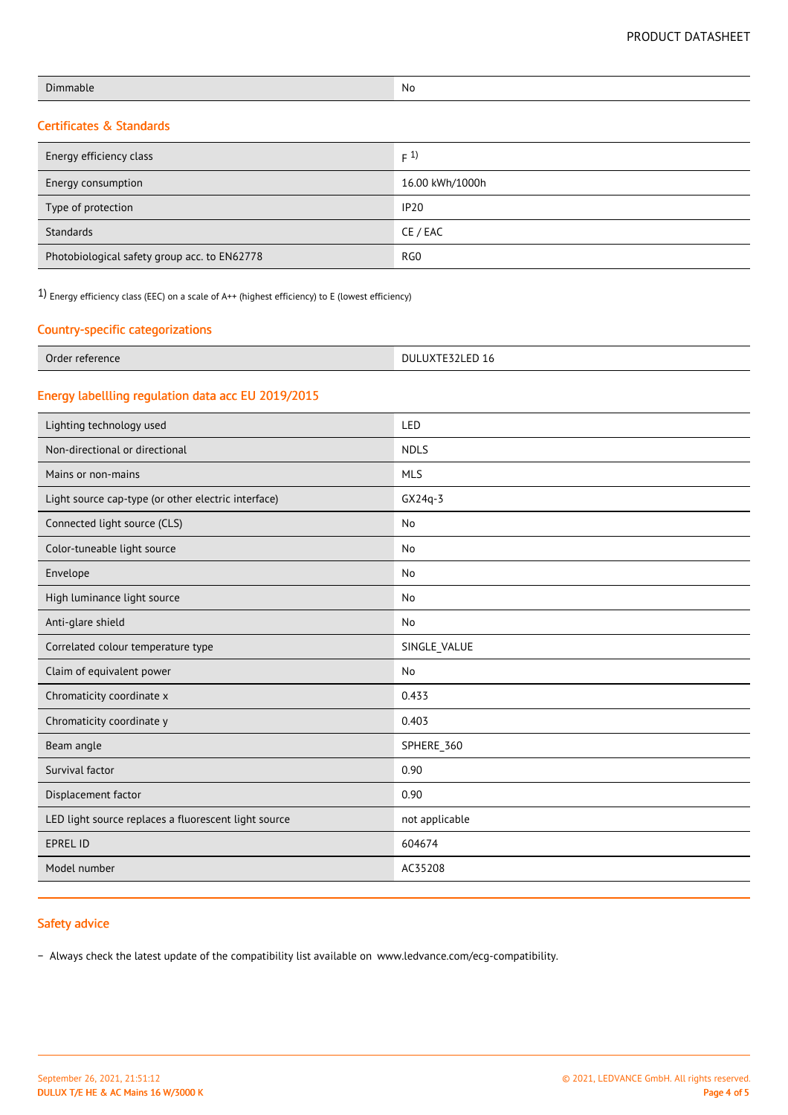| Dimmable | No |
|----------|----|
|          |    |

# Certificates & Standards

| Energy efficiency class                      | F(1)            |
|----------------------------------------------|-----------------|
| Energy consumption                           | 16.00 kWh/1000h |
| Type of protection                           | <b>IP20</b>     |
| Standards                                    | CE / EAC        |
| Photobiological safety group acc. to EN62778 | RG <sub>0</sub> |

1) Energy efficiency class (EEC) on a scale of A++ (highest efficiency) to E (lowest efficiency)

### Country-specific categorizations

| $\sim$<br>Order<br>erence<br>* reτe⊾<br>.<br>. | $-$<br>יר<br>ישכ<br>$\sim$<br>$\overline{ }$<br>LJZLLU IV<br>. . |
|------------------------------------------------|------------------------------------------------------------------|
|------------------------------------------------|------------------------------------------------------------------|

## Energy labellling regulation data acc EU 2019/2015

| Lighting technology used                             | LED            |
|------------------------------------------------------|----------------|
| Non-directional or directional                       | <b>NDLS</b>    |
| Mains or non-mains                                   | <b>MLS</b>     |
| Light source cap-type (or other electric interface)  | $GX24q-3$      |
| Connected light source (CLS)                         | No             |
| Color-tuneable light source                          | No             |
| Envelope                                             | No             |
| High luminance light source                          | No             |
| Anti-glare shield                                    | No             |
| Correlated colour temperature type                   | SINGLE_VALUE   |
| Claim of equivalent power                            | No             |
| Chromaticity coordinate x                            | 0.433          |
| Chromaticity coordinate y                            | 0.403          |
| Beam angle                                           | SPHERE_360     |
| Survival factor                                      | 0.90           |
| Displacement factor                                  | 0.90           |
| LED light source replaces a fluorescent light source | not applicable |
| <b>EPREL ID</b>                                      | 604674         |
| Model number                                         | AC35208        |

## Safety advice

− Always check the latest update of the compatibility list available on www.ledvance.com/ecg-compatibility.